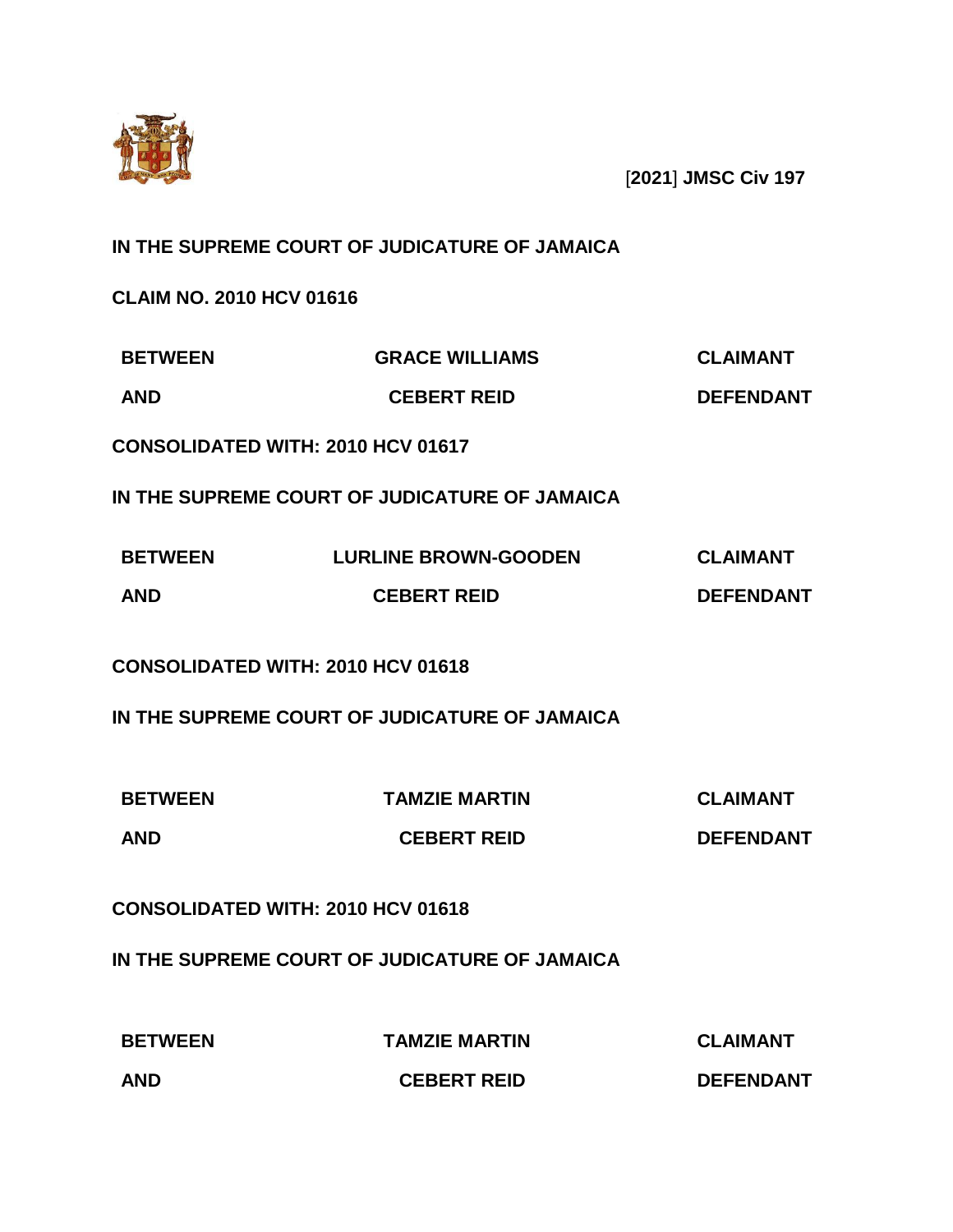

[**2021**] **JMSC Civ 197**

# **IN THE SUPREME COURT OF JUDICATURE OF JAMAICA**

**CLAIM NO. 2010 HCV 01616**

| <b>BETWEEN</b> | <b>GRACE WILLIAMS</b> | <b>CLAIMANT</b>  |
|----------------|-----------------------|------------------|
| <b>AND</b>     | <b>CEBERT REID</b>    | <b>DEFENDANT</b> |

**CONSOLIDATED WITH: 2010 HCV 01617**

**IN THE SUPREME COURT OF JUDICATURE OF JAMAICA**

| <b>BETWEEN</b> | <b>LURLINE BROWN-GOODEN</b> | <b>CLAIMANT</b>  |
|----------------|-----------------------------|------------------|
| <b>AND</b>     | <b>CEBERT REID</b>          | <b>DEFENDANT</b> |

**CONSOLIDATED WITH: 2010 HCV 01618**

**IN THE SUPREME COURT OF JUDICATURE OF JAMAICA**

| <b>BETWEEN</b> | <b>TAMZIE MARTIN</b> | <b>CLAIMANT</b>  |
|----------------|----------------------|------------------|
| <b>AND</b>     | <b>CEBERT REID</b>   | <b>DEFENDANT</b> |

**CONSOLIDATED WITH: 2010 HCV 01618**

**IN THE SUPREME COURT OF JUDICATURE OF JAMAICA**

| <b>BETWEEN</b> | <b>TAMZIE MARTIN</b> | <b>CLAIMANT</b>  |
|----------------|----------------------|------------------|
| <b>AND</b>     | <b>CEBERT REID</b>   | <b>DEFENDANT</b> |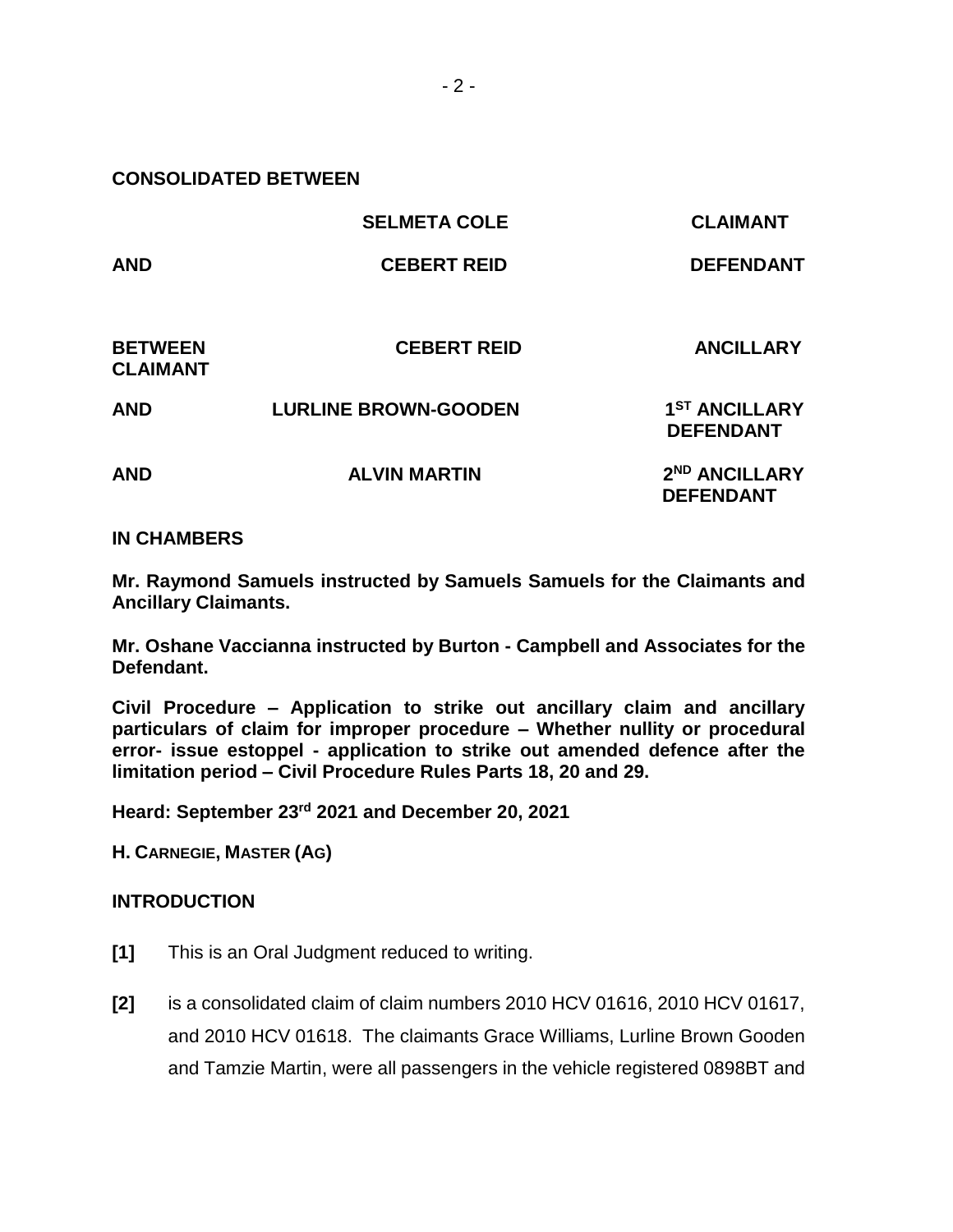**CONSOLIDATED BETWEEN** 

|                                   | <b>SELMETA COLE</b>         | <b>CLAIMANT</b>                               |
|-----------------------------------|-----------------------------|-----------------------------------------------|
| <b>AND</b>                        | <b>CEBERT REID</b>          | <b>DEFENDANT</b>                              |
| <b>BETWEEN</b><br><b>CLAIMANT</b> | <b>CEBERT REID</b>          | <b>ANCILLARY</b>                              |
| <b>AND</b>                        | <b>LURLINE BROWN-GOODEN</b> | 1 <sup>ST</sup> ANCILLARY<br><b>DEFENDANT</b> |
| <b>AND</b>                        | <b>ALVIN MARTIN</b>         | 2 <sup>ND</sup> ANCILLARY<br><b>DEFENDANT</b> |

### **IN CHAMBERS**

**Mr. Raymond Samuels instructed by Samuels Samuels for the Claimants and Ancillary Claimants.** 

**Mr. Oshane Vaccianna instructed by Burton - Campbell and Associates for the Defendant.**

**Civil Procedure – Application to strike out ancillary claim and ancillary particulars of claim for improper procedure – Whether nullity or procedural error- issue estoppel - application to strike out amended defence after the limitation period – Civil Procedure Rules Parts 18, 20 and 29.**

**Heard: September 23rd 2021 and December 20, 2021**

**H. CARNEGIE, MASTER (AG)**

#### **INTRODUCTION**

- **[1]** This is an Oral Judgment reduced to writing.
- **[2]** is a consolidated claim of claim numbers 2010 HCV 01616, 2010 HCV 01617, and 2010 HCV 01618. The claimants Grace Williams, Lurline Brown Gooden and Tamzie Martin, were all passengers in the vehicle registered 0898BT and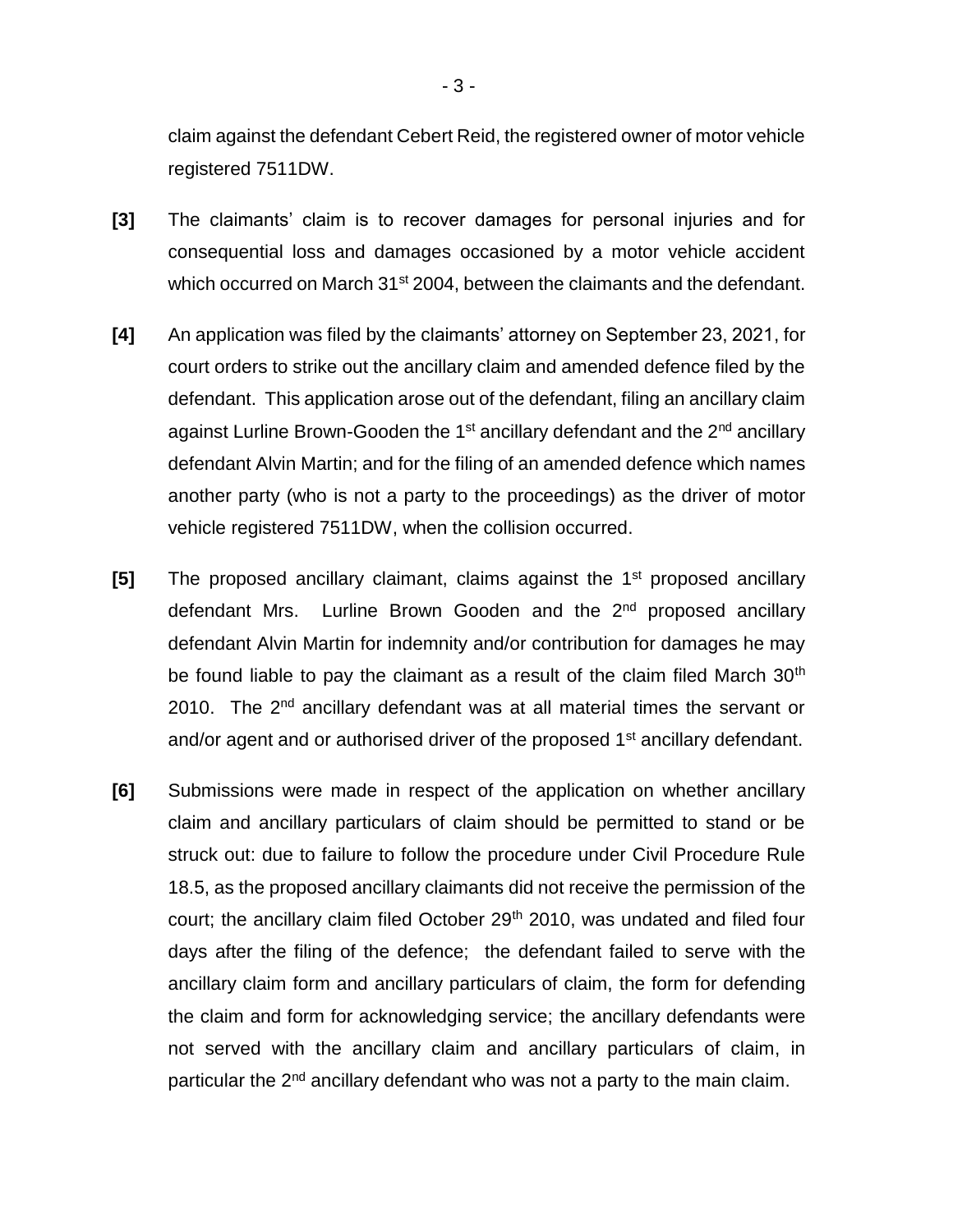claim against the defendant Cebert Reid, the registered owner of motor vehicle registered 7511DW.

- **[3]** The claimants' claim is to recover damages for personal injuries and for consequential loss and damages occasioned by a motor vehicle accident which occurred on March 31<sup>st</sup> 2004, between the claimants and the defendant.
- **[4]** An application was filed by the claimants' attorney on September 23, 2021, for court orders to strike out the ancillary claim and amended defence filed by the defendant. This application arose out of the defendant, filing an ancillary claim against Lurline Brown-Gooden the 1<sup>st</sup> ancillary defendant and the 2<sup>nd</sup> ancillary defendant Alvin Martin; and for the filing of an amended defence which names another party (who is not a party to the proceedings) as the driver of motor vehicle registered 7511DW, when the collision occurred.
- **[5]** The proposed ancillary claimant, claims against the 1st proposed ancillary defendant Mrs. Lurline Brown Gooden and the 2<sup>nd</sup> proposed ancillary defendant Alvin Martin for indemnity and/or contribution for damages he may be found liable to pay the claimant as a result of the claim filed March  $30<sup>th</sup>$ 2010. The 2<sup>nd</sup> ancillary defendant was at all material times the servant or and/or agent and or authorised driver of the proposed 1<sup>st</sup> ancillary defendant.
- **[6]** Submissions were made in respect of the application on whether ancillary claim and ancillary particulars of claim should be permitted to stand or be struck out: due to failure to follow the procedure under Civil Procedure Rule 18.5, as the proposed ancillary claimants did not receive the permission of the court; the ancillary claim filed October 29<sup>th</sup> 2010, was undated and filed four days after the filing of the defence; the defendant failed to serve with the ancillary claim form and ancillary particulars of claim, the form for defending the claim and form for acknowledging service; the ancillary defendants were not served with the ancillary claim and ancillary particulars of claim, in particular the  $2^{nd}$  ancillary defendant who was not a party to the main claim.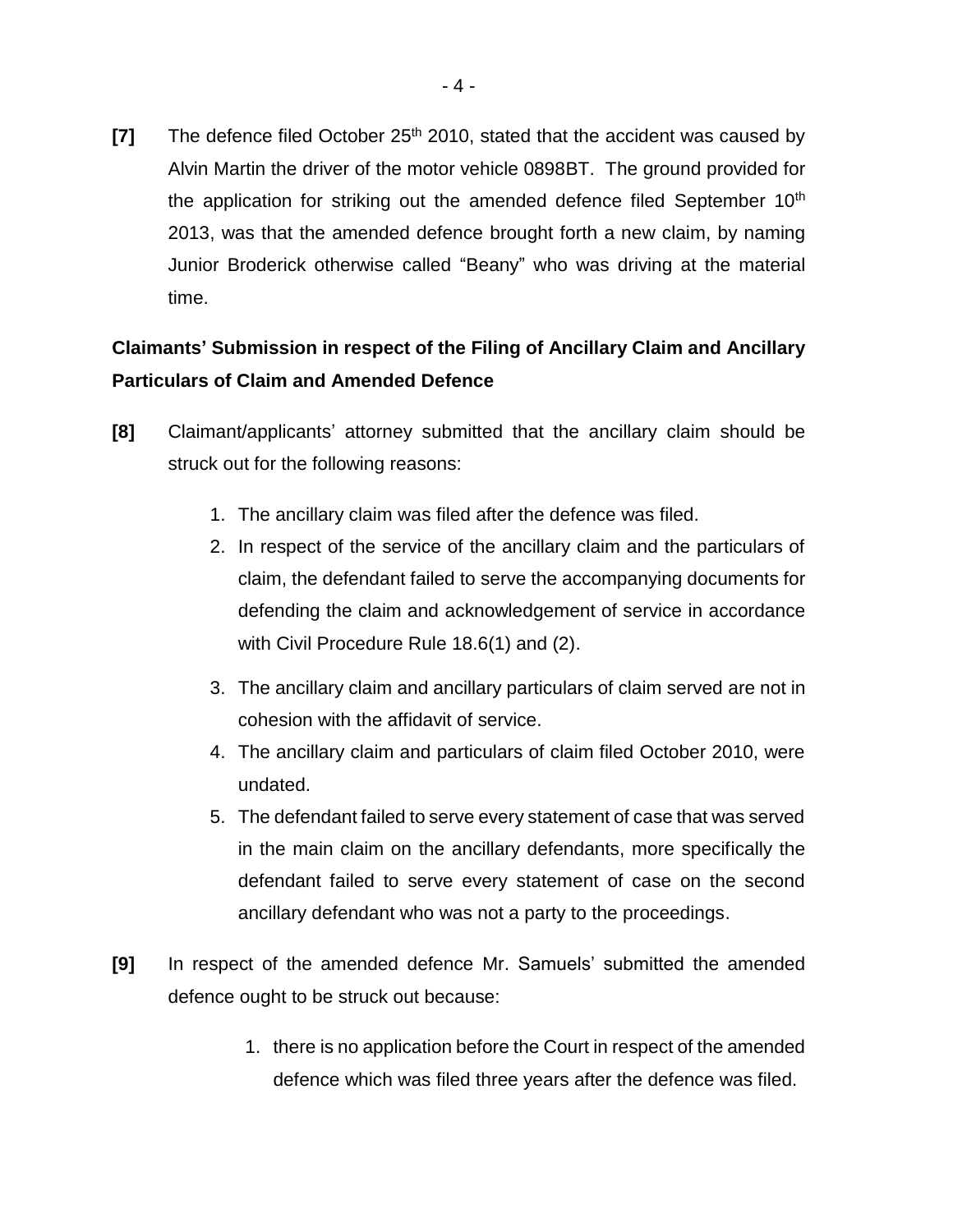**[7]** The defence filed October 25<sup>th</sup> 2010, stated that the accident was caused by Alvin Martin the driver of the motor vehicle 0898BT. The ground provided for the application for striking out the amended defence filed September 10<sup>th</sup> 2013, was that the amended defence brought forth a new claim, by naming Junior Broderick otherwise called "Beany" who was driving at the material time.

# **Claimants' Submission in respect of the Filing of Ancillary Claim and Ancillary Particulars of Claim and Amended Defence**

- **[8]** Claimant/applicants' attorney submitted that the ancillary claim should be struck out for the following reasons:
	- 1. The ancillary claim was filed after the defence was filed.
	- 2. In respect of the service of the ancillary claim and the particulars of claim, the defendant failed to serve the accompanying documents for defending the claim and acknowledgement of service in accordance with Civil Procedure Rule 18.6(1) and (2).
	- 3. The ancillary claim and ancillary particulars of claim served are not in cohesion with the affidavit of service.
	- 4. The ancillary claim and particulars of claim filed October 2010, were undated.
	- 5. The defendant failed to serve every statement of case that was served in the main claim on the ancillary defendants, more specifically the defendant failed to serve every statement of case on the second ancillary defendant who was not a party to the proceedings.
- **[9]** In respect of the amended defence Mr. Samuels' submitted the amended defence ought to be struck out because:
	- 1. there is no application before the Court in respect of the amended defence which was filed three years after the defence was filed.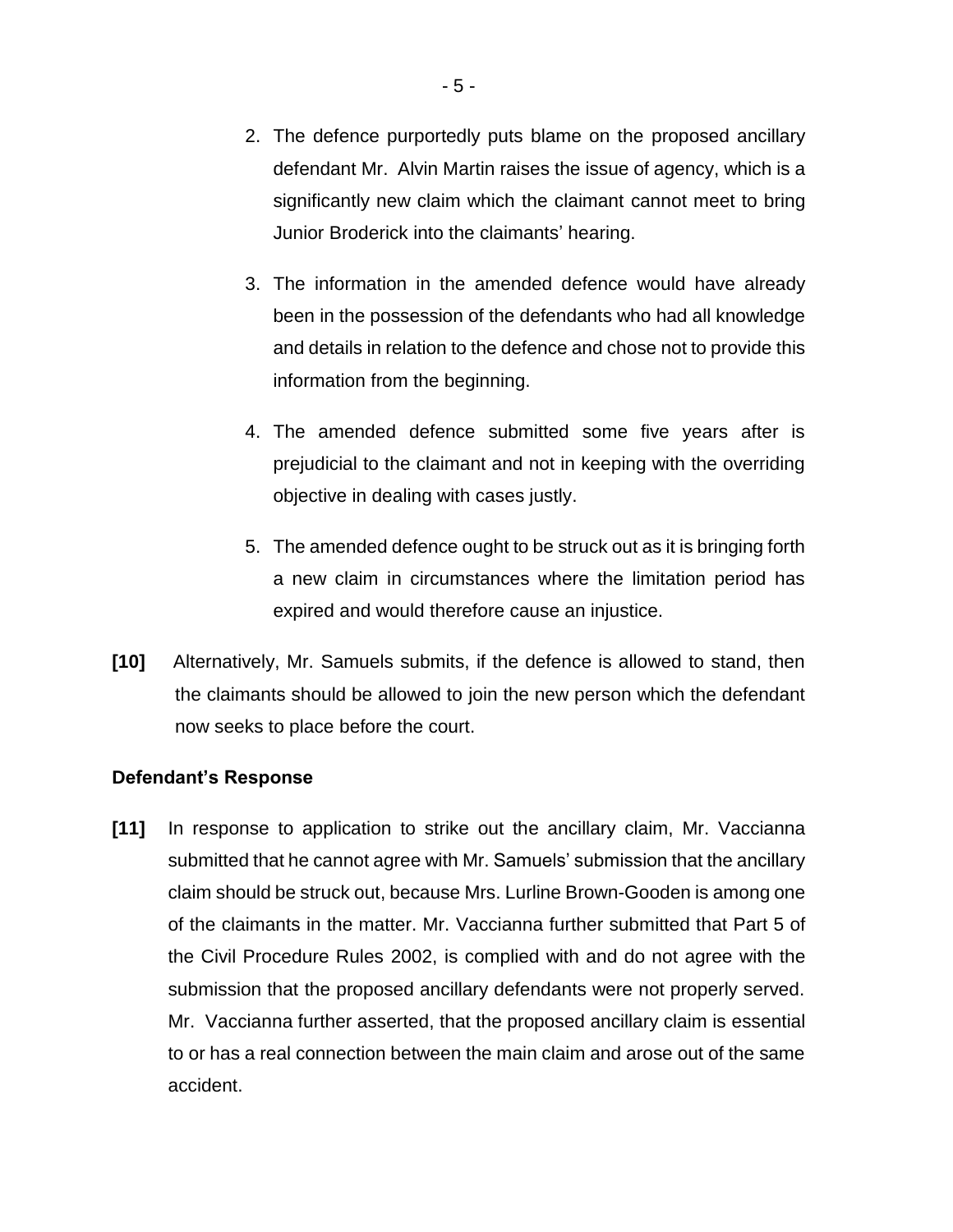- 2. The defence purportedly puts blame on the proposed ancillary defendant Mr. Alvin Martin raises the issue of agency, which is a significantly new claim which the claimant cannot meet to bring Junior Broderick into the claimants' hearing.
- 3. The information in the amended defence would have already been in the possession of the defendants who had all knowledge and details in relation to the defence and chose not to provide this information from the beginning.
- 4. The amended defence submitted some five years after is prejudicial to the claimant and not in keeping with the overriding objective in dealing with cases justly.
- 5. The amended defence ought to be struck out as it is bringing forth a new claim in circumstances where the limitation period has expired and would therefore cause an injustice.
- **[10]** Alternatively, Mr. Samuels submits, if the defence is allowed to stand, then the claimants should be allowed to join the new person which the defendant now seeks to place before the court.

## **Defendant's Response**

**[11]** In response to application to strike out the ancillary claim, Mr. Vaccianna submitted that he cannot agree with Mr. Samuels' submission that the ancillary claim should be struck out, because Mrs. Lurline Brown-Gooden is among one of the claimants in the matter. Mr. Vaccianna further submitted that Part 5 of the Civil Procedure Rules 2002, is complied with and do not agree with the submission that the proposed ancillary defendants were not properly served. Mr. Vaccianna further asserted, that the proposed ancillary claim is essential to or has a real connection between the main claim and arose out of the same accident.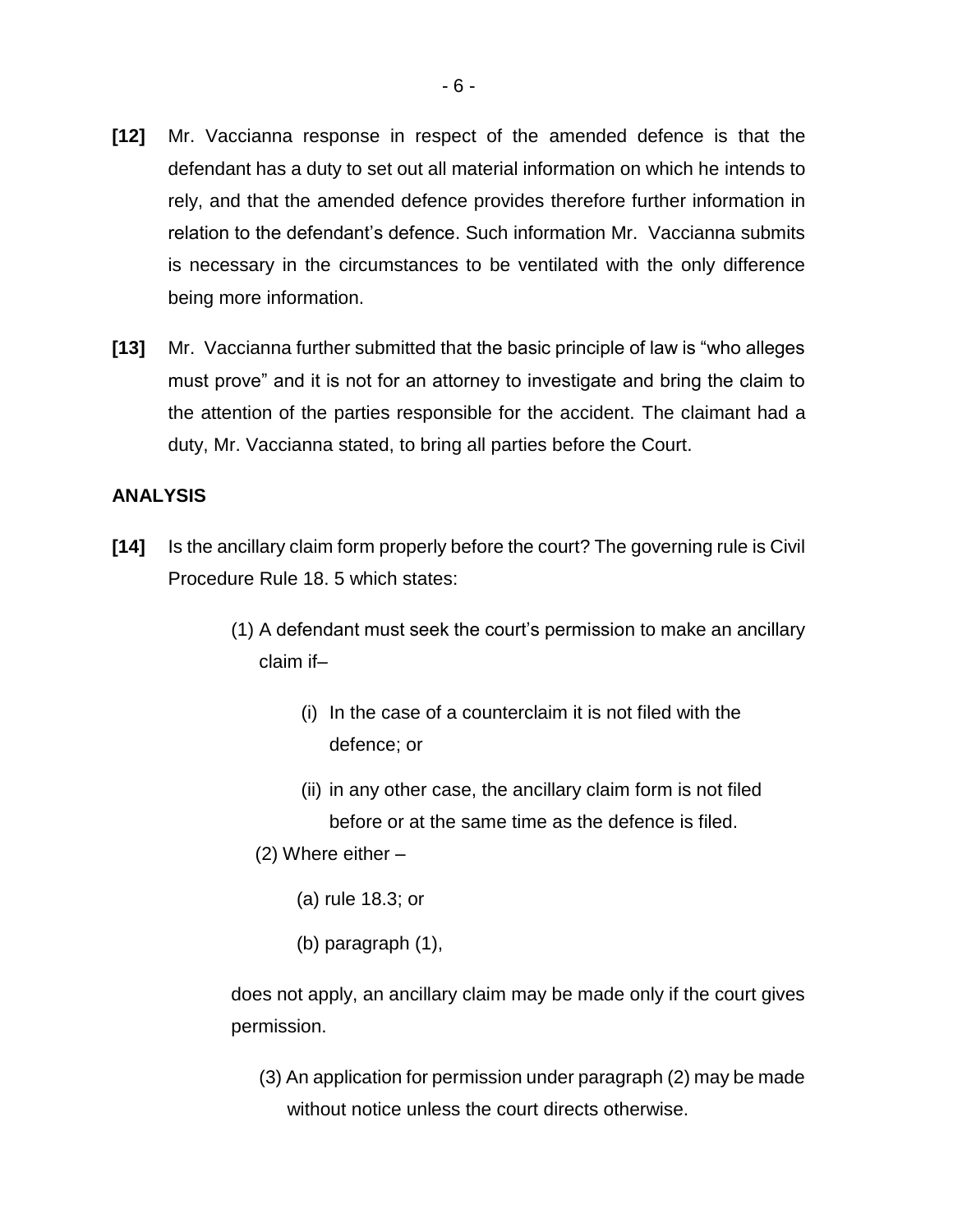- **[12]** Mr. Vaccianna response in respect of the amended defence is that the defendant has a duty to set out all material information on which he intends to rely, and that the amended defence provides therefore further information in relation to the defendant's defence. Such information Mr. Vaccianna submits is necessary in the circumstances to be ventilated with the only difference being more information.
- **[13]** Mr. Vaccianna further submitted that the basic principle of law is "who alleges must prove" and it is not for an attorney to investigate and bring the claim to the attention of the parties responsible for the accident. The claimant had a duty, Mr. Vaccianna stated, to bring all parties before the Court.

## **ANALYSIS**

- **[14]** Is the ancillary claim form properly before the court? The governing rule is Civil Procedure Rule 18. 5 which states:
	- (1) A defendant must seek the court's permission to make an ancillary claim if–
		- (i) In the case of a counterclaim it is not filed with the defence; or
		- (ii) in any other case, the ancillary claim form is not filed before or at the same time as the defence is filed.
		- (2) Where either
			- (a) rule 18.3; or
			- (b) paragraph (1),

does not apply, an ancillary claim may be made only if the court gives permission.

(3) An application for permission under paragraph (2) may be made without notice unless the court directs otherwise.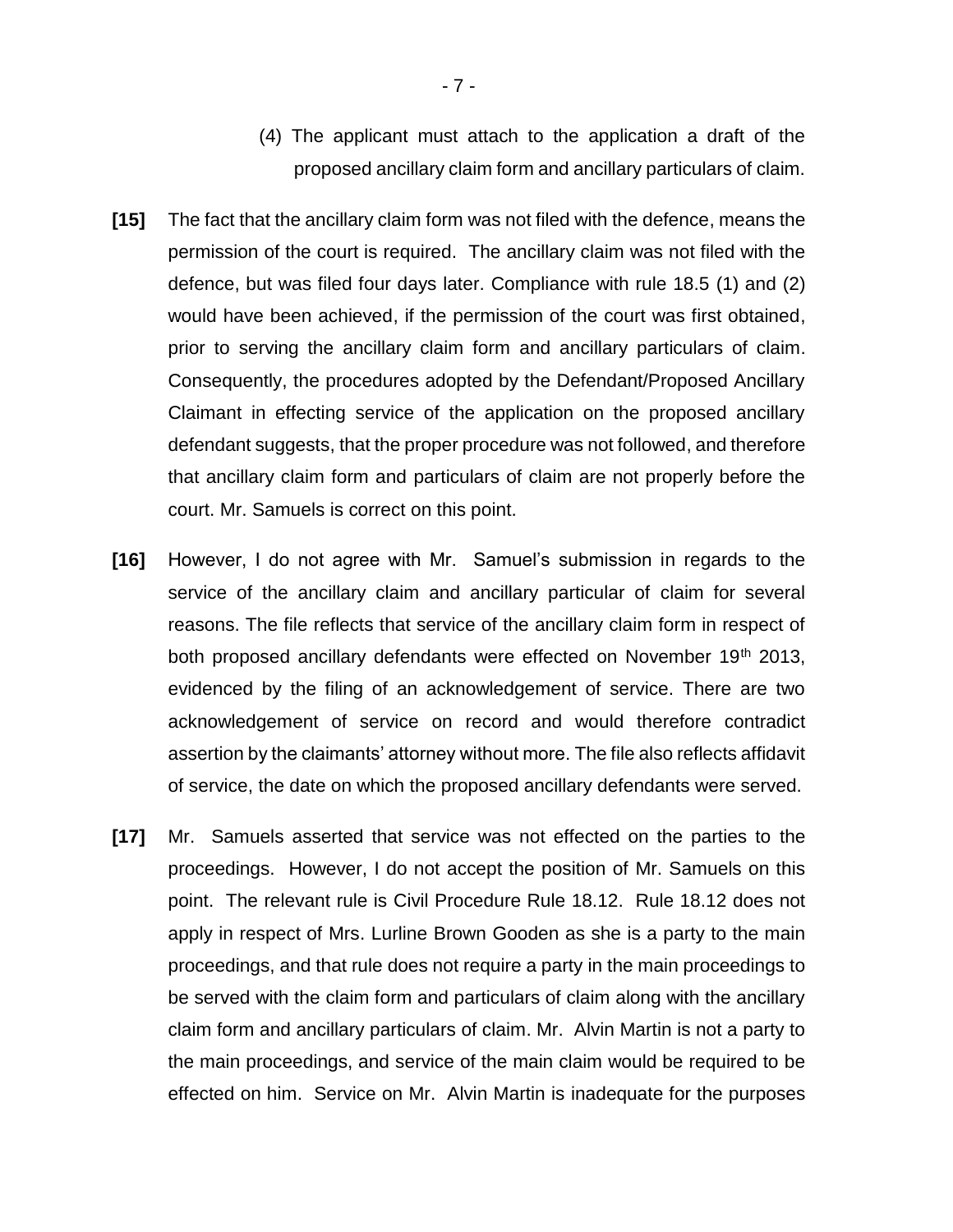- (4) The applicant must attach to the application a draft of the proposed ancillary claim form and ancillary particulars of claim.
- **[15]** The fact that the ancillary claim form was not filed with the defence, means the permission of the court is required. The ancillary claim was not filed with the defence, but was filed four days later. Compliance with rule 18.5 (1) and (2) would have been achieved, if the permission of the court was first obtained, prior to serving the ancillary claim form and ancillary particulars of claim. Consequently, the procedures adopted by the Defendant/Proposed Ancillary Claimant in effecting service of the application on the proposed ancillary defendant suggests, that the proper procedure was not followed, and therefore that ancillary claim form and particulars of claim are not properly before the court. Mr. Samuels is correct on this point.
- **[16]** However, I do not agree with Mr. Samuel's submission in regards to the service of the ancillary claim and ancillary particular of claim for several reasons. The file reflects that service of the ancillary claim form in respect of both proposed ancillary defendants were effected on November 19<sup>th</sup> 2013, evidenced by the filing of an acknowledgement of service. There are two acknowledgement of service on record and would therefore contradict assertion by the claimants' attorney without more. The file also reflects affidavit of service, the date on which the proposed ancillary defendants were served.
- **[17]** Mr. Samuels asserted that service was not effected on the parties to the proceedings. However, I do not accept the position of Mr. Samuels on this point. The relevant rule is Civil Procedure Rule 18.12. Rule 18.12 does not apply in respect of Mrs. Lurline Brown Gooden as she is a party to the main proceedings, and that rule does not require a party in the main proceedings to be served with the claim form and particulars of claim along with the ancillary claim form and ancillary particulars of claim. Mr. Alvin Martin is not a party to the main proceedings, and service of the main claim would be required to be effected on him. Service on Mr. Alvin Martin is inadequate for the purposes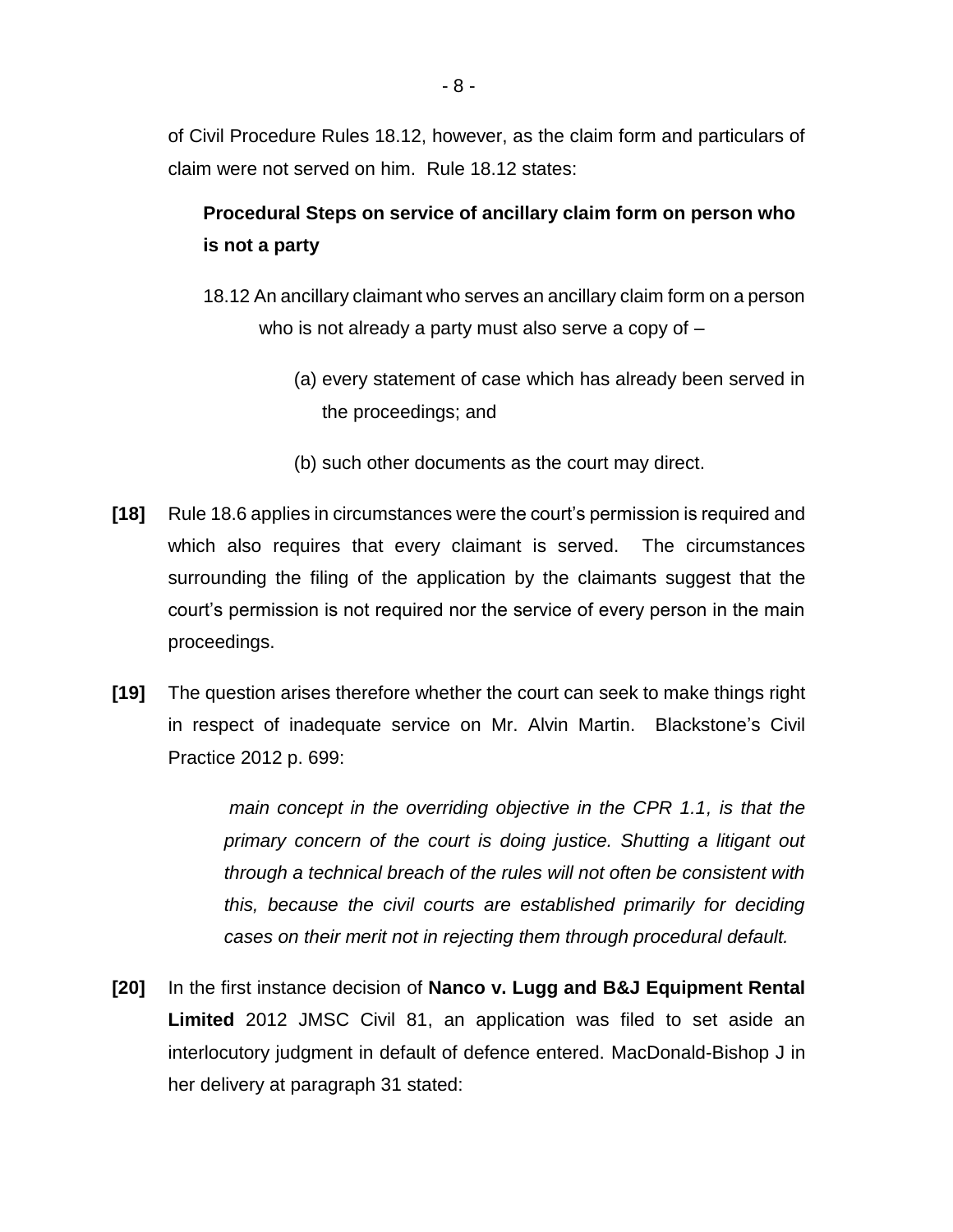of Civil Procedure Rules 18.12, however, as the claim form and particulars of claim were not served on him. Rule 18.12 states:

# **Procedural Steps on service of ancillary claim form on person who is not a party**

- 18.12 An ancillary claimant who serves an ancillary claim form on a person who is not already a party must also serve a copy of  $-$ 
	- (a) every statement of case which has already been served in the proceedings; and
	- (b) such other documents as the court may direct.
- **[18]** Rule 18.6 applies in circumstances were the court's permission is required and which also requires that every claimant is served. The circumstances surrounding the filing of the application by the claimants suggest that the court's permission is not required nor the service of every person in the main proceedings.
- **[19]** The question arises therefore whether the court can seek to make things right in respect of inadequate service on Mr. Alvin Martin. Blackstone's Civil Practice 2012 p. 699:

*main concept in the overriding objective in the CPR 1.1, is that the primary concern of the court is doing justice. Shutting a litigant out through a technical breach of the rules will not often be consistent with this, because the civil courts are established primarily for deciding cases on their merit not in rejecting them through procedural default.* 

**[20]** In the first instance decision of **Nanco v. Lugg and B&J Equipment Rental Limited** 2012 JMSC Civil 81, an application was filed to set aside an interlocutory judgment in default of defence entered. MacDonald-Bishop J in her delivery at paragraph 31 stated: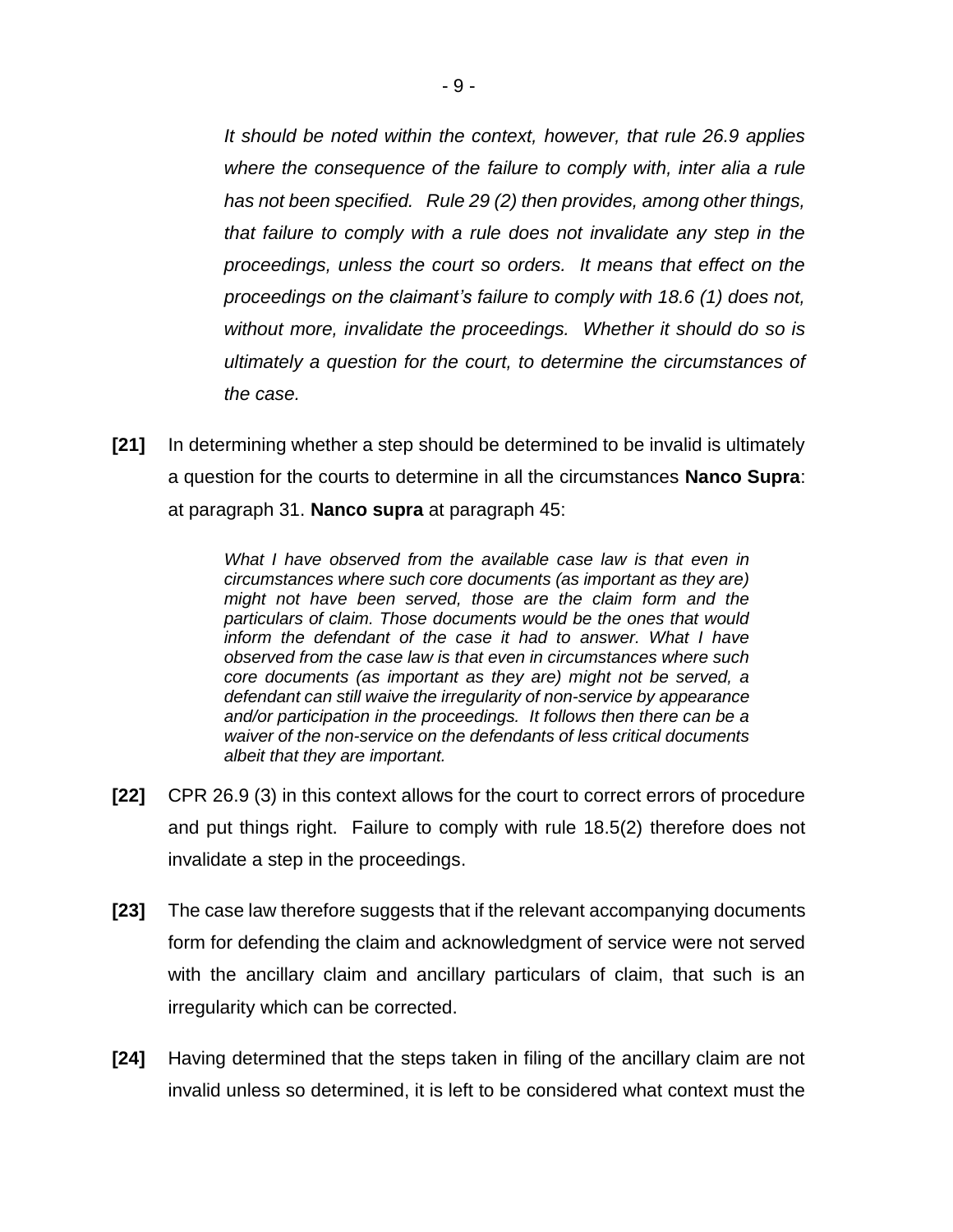*It should be noted within the context, however, that rule 26.9 applies where the consequence of the failure to comply with, inter alia a rule has not been specified. Rule 29 (2) then provides, among other things, that failure to comply with a rule does not invalidate any step in the proceedings, unless the court so orders. It means that effect on the proceedings on the claimant's failure to comply with 18.6 (1) does not, without more, invalidate the proceedings. Whether it should do so is ultimately a question for the court, to determine the circumstances of the case.*

**[21]** In determining whether a step should be determined to be invalid is ultimately a question for the courts to determine in all the circumstances **Nanco Supra**: at paragraph 31. **Nanco supra** at paragraph 45:

> *What I have observed from the available case law is that even in circumstances where such core documents (as important as they are) might not have been served, those are the claim form and the particulars of claim. Those documents would be the ones that would inform the defendant of the case it had to answer. What I have observed from the case law is that even in circumstances where such core documents (as important as they are) might not be served, a defendant can still waive the irregularity of non-service by appearance and/or participation in the proceedings. It follows then there can be a waiver of the non-service on the defendants of less critical documents albeit that they are important.*

- **[22]** CPR 26.9 (3) in this context allows for the court to correct errors of procedure and put things right. Failure to comply with rule 18.5(2) therefore does not invalidate a step in the proceedings.
- **[23]** The case law therefore suggests that if the relevant accompanying documents form for defending the claim and acknowledgment of service were not served with the ancillary claim and ancillary particulars of claim, that such is an irregularity which can be corrected.
- **[24]** Having determined that the steps taken in filing of the ancillary claim are not invalid unless so determined, it is left to be considered what context must the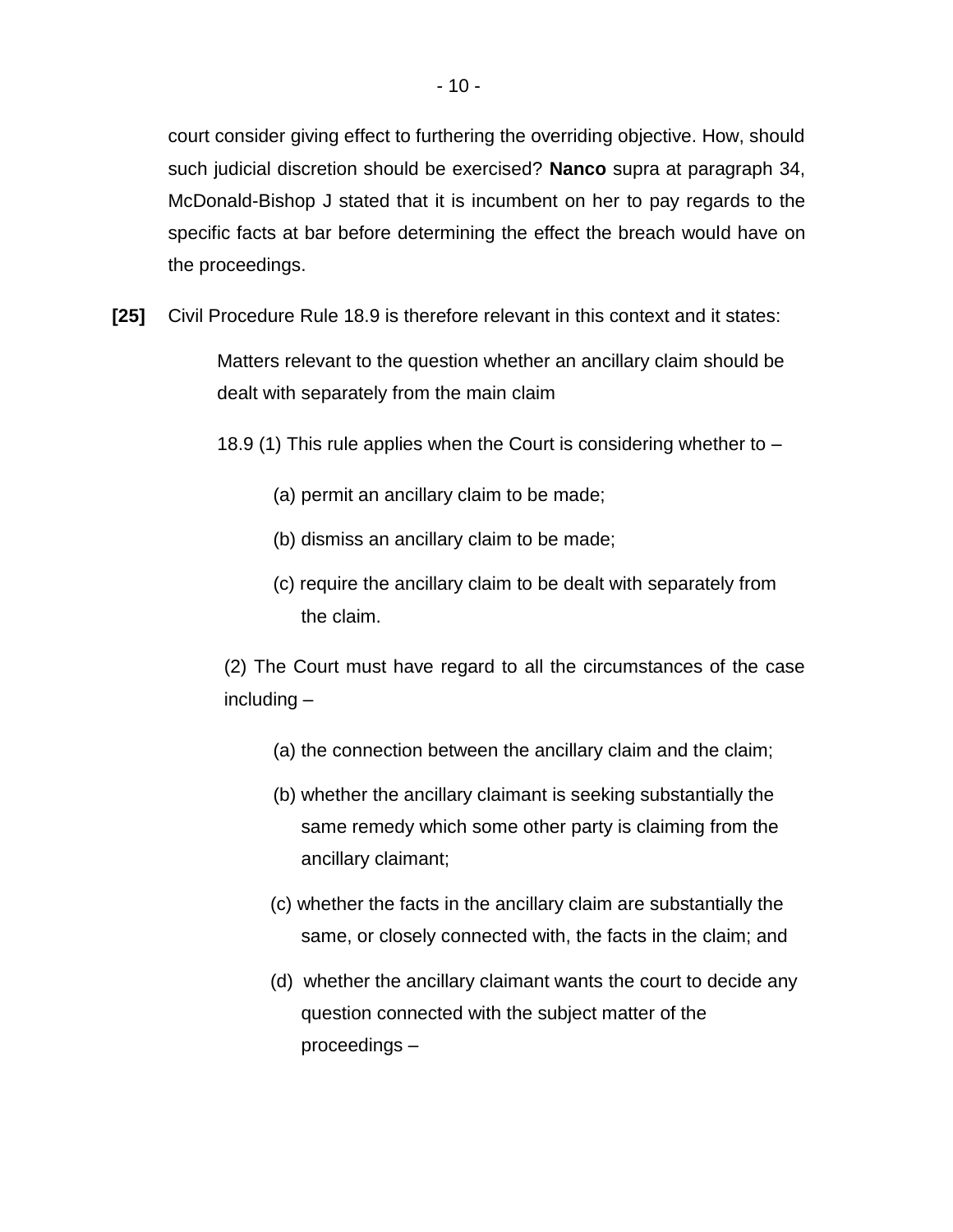court consider giving effect to furthering the overriding objective. How, should such judicial discretion should be exercised? **Nanco** supra at paragraph 34, McDonald-Bishop J stated that it is incumbent on her to pay regards to the specific facts at bar before determining the effect the breach would have on the proceedings.

**[25]** Civil Procedure Rule 18.9 is therefore relevant in this context and it states:

Matters relevant to the question whether an ancillary claim should be dealt with separately from the main claim

- 18.9 (1) This rule applies when the Court is considering whether to
	- (a) permit an ancillary claim to be made;
	- (b) dismiss an ancillary claim to be made;
	- (c) require the ancillary claim to be dealt with separately from the claim.

(2) The Court must have regard to all the circumstances of the case including –

- (a) the connection between the ancillary claim and the claim;
- (b) whether the ancillary claimant is seeking substantially the same remedy which some other party is claiming from the ancillary claimant;
- (c) whether the facts in the ancillary claim are substantially the same, or closely connected with, the facts in the claim; and
- (d) whether the ancillary claimant wants the court to decide any question connected with the subject matter of the proceedings –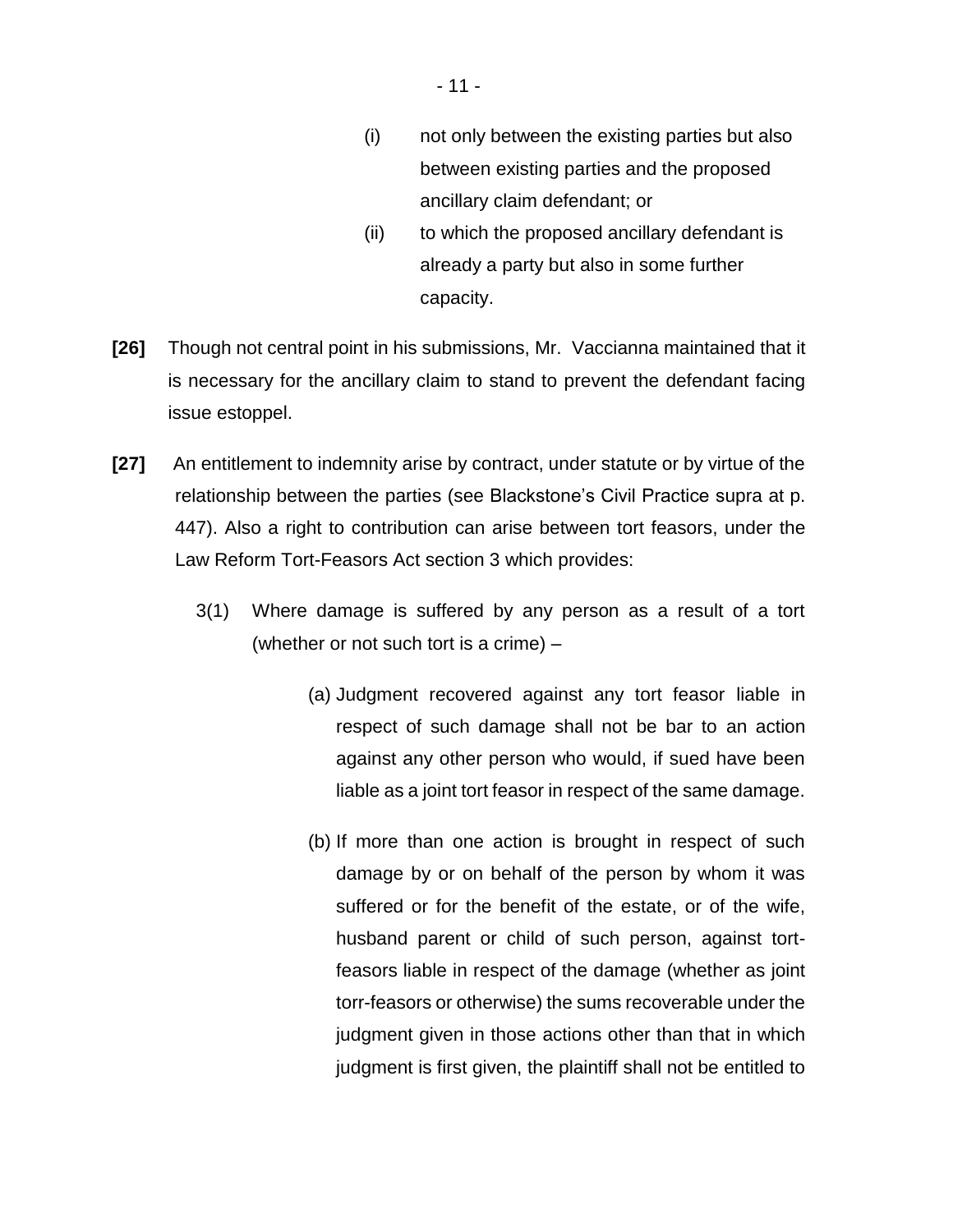- 11 -

- (i) not only between the existing parties but also between existing parties and the proposed ancillary claim defendant; or
- (ii) to which the proposed ancillary defendant is already a party but also in some further capacity.
- **[26]** Though not central point in his submissions, Mr. Vaccianna maintained that it is necessary for the ancillary claim to stand to prevent the defendant facing issue estoppel.
- **[27]** An entitlement to indemnity arise by contract, under statute or by virtue of the relationship between the parties (see Blackstone's Civil Practice supra at p. 447). Also a right to contribution can arise between tort feasors, under the Law Reform Tort-Feasors Act section 3 which provides:
	- 3(1) Where damage is suffered by any person as a result of a tort (whether or not such tort is a crime) –
		- (a) Judgment recovered against any tort feasor liable in respect of such damage shall not be bar to an action against any other person who would, if sued have been liable as a joint tort feasor in respect of the same damage.
		- (b) If more than one action is brought in respect of such damage by or on behalf of the person by whom it was suffered or for the benefit of the estate, or of the wife, husband parent or child of such person, against tortfeasors liable in respect of the damage (whether as joint torr-feasors or otherwise) the sums recoverable under the judgment given in those actions other than that in which judgment is first given, the plaintiff shall not be entitled to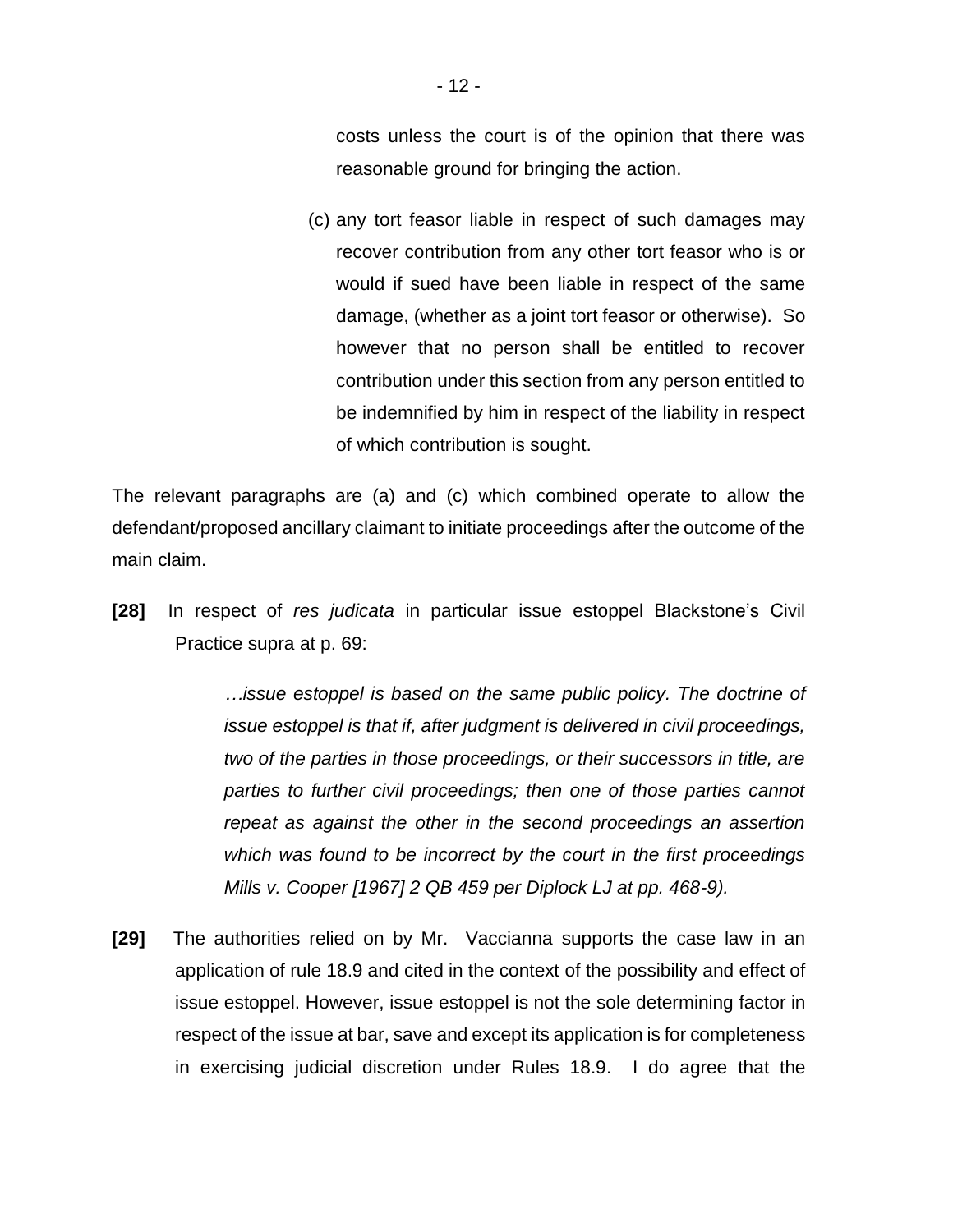costs unless the court is of the opinion that there was reasonable ground for bringing the action.

(c) any tort feasor liable in respect of such damages may recover contribution from any other tort feasor who is or would if sued have been liable in respect of the same damage, (whether as a joint tort feasor or otherwise). So however that no person shall be entitled to recover contribution under this section from any person entitled to be indemnified by him in respect of the liability in respect of which contribution is sought.

The relevant paragraphs are (a) and (c) which combined operate to allow the defendant/proposed ancillary claimant to initiate proceedings after the outcome of the main claim.

**[28]** In respect of *res judicata* in particular issue estoppel Blackstone's Civil Practice supra at p. 69:

> *…issue estoppel is based on the same public policy. The doctrine of issue estoppel is that if, after judgment is delivered in civil proceedings, two of the parties in those proceedings, or their successors in title, are parties to further civil proceedings; then one of those parties cannot repeat as against the other in the second proceedings an assertion which was found to be incorrect by the court in the first proceedings Mills v. Cooper [1967] 2 QB 459 per Diplock LJ at pp. 468-9).*

**[29]** The authorities relied on by Mr. Vaccianna supports the case law in an application of rule 18.9 and cited in the context of the possibility and effect of issue estoppel. However, issue estoppel is not the sole determining factor in respect of the issue at bar, save and except its application is for completeness in exercising judicial discretion under Rules 18.9. I do agree that the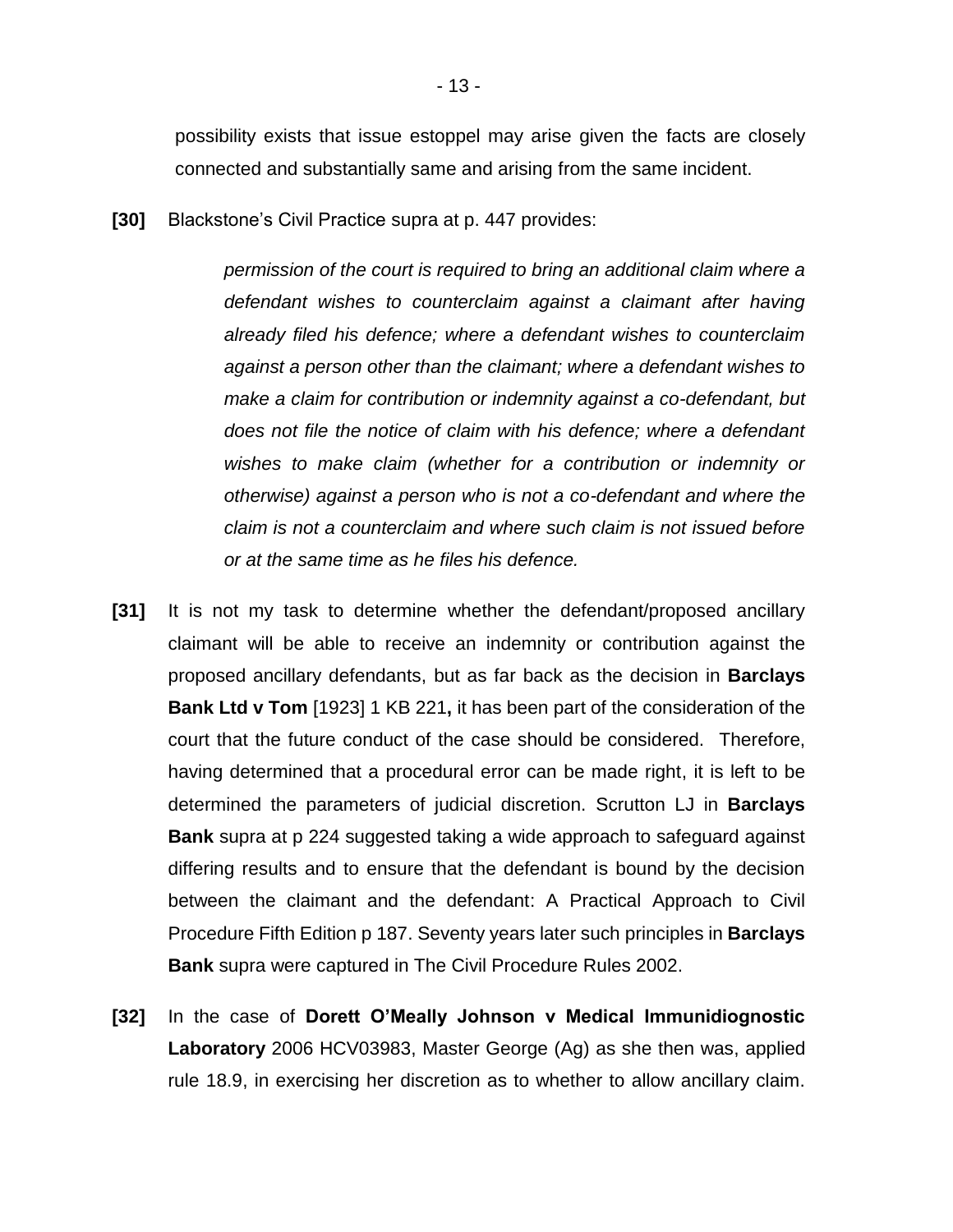possibility exists that issue estoppel may arise given the facts are closely connected and substantially same and arising from the same incident.

**[30]** Blackstone's Civil Practice supra at p. 447 provides:

*permission of the court is required to bring an additional claim where a defendant wishes to counterclaim against a claimant after having already filed his defence; where a defendant wishes to counterclaim against a person other than the claimant; where a defendant wishes to make a claim for contribution or indemnity against a co-defendant, but does not file the notice of claim with his defence; where a defendant wishes to make claim (whether for a contribution or indemnity or otherwise) against a person who is not a co-defendant and where the claim is not a counterclaim and where such claim is not issued before or at the same time as he files his defence.*

- **[31]** It is not my task to determine whether the defendant/proposed ancillary claimant will be able to receive an indemnity or contribution against the proposed ancillary defendants, but as far back as the decision in **Barclays Bank Ltd v Tom** [1923] 1 KB 221**,** it has been part of the consideration of the court that the future conduct of the case should be considered. Therefore, having determined that a procedural error can be made right, it is left to be determined the parameters of judicial discretion. Scrutton LJ in **Barclays Bank** supra at p 224 suggested taking a wide approach to safeguard against differing results and to ensure that the defendant is bound by the decision between the claimant and the defendant: A Practical Approach to Civil Procedure Fifth Edition p 187. Seventy years later such principles in **Barclays Bank** supra were captured in The Civil Procedure Rules 2002.
- **[32]** In the case of **Dorett O'Meally Johnson v Medical Immunidiognostic Laboratory** 2006 HCV03983, Master George (Ag) as she then was, applied rule 18.9, in exercising her discretion as to whether to allow ancillary claim.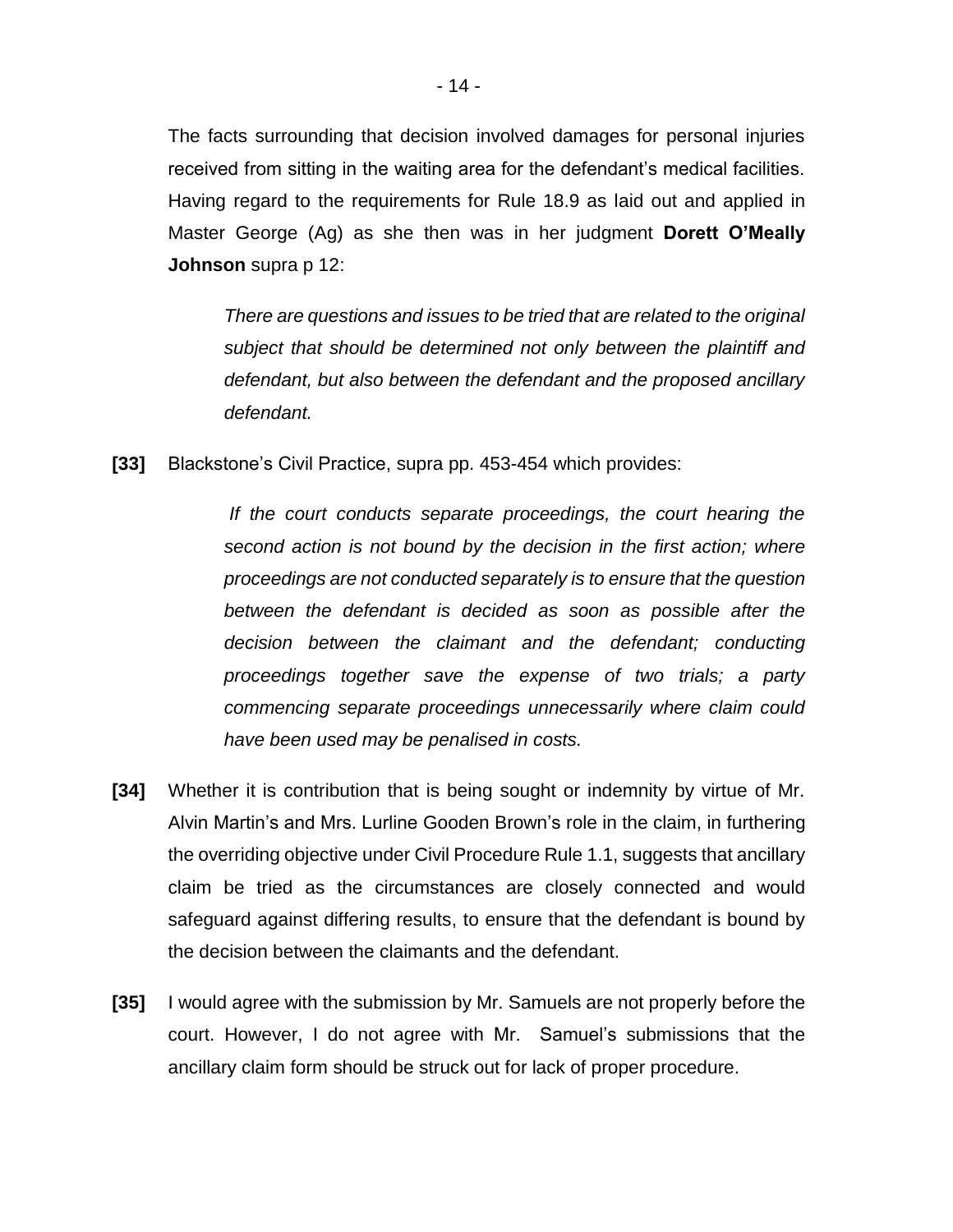The facts surrounding that decision involved damages for personal injuries received from sitting in the waiting area for the defendant's medical facilities. Having regard to the requirements for Rule 18.9 as laid out and applied in Master George (Ag) as she then was in her judgment **Dorett O'Meally Johnson** supra p 12:

*There are questions and issues to be tried that are related to the original subject that should be determined not only between the plaintiff and defendant, but also between the defendant and the proposed ancillary defendant.* 

**[33]** Blackstone's Civil Practice, supra pp. 453-454 which provides:

*If the court conducts separate proceedings, the court hearing the second action is not bound by the decision in the first action; where proceedings are not conducted separately is to ensure that the question between the defendant is decided as soon as possible after the decision between the claimant and the defendant; conducting proceedings together save the expense of two trials; a party commencing separate proceedings unnecessarily where claim could have been used may be penalised in costs.*

- **[34]** Whether it is contribution that is being sought or indemnity by virtue of Mr. Alvin Martin's and Mrs. Lurline Gooden Brown's role in the claim, in furthering the overriding objective under Civil Procedure Rule 1.1, suggests that ancillary claim be tried as the circumstances are closely connected and would safeguard against differing results, to ensure that the defendant is bound by the decision between the claimants and the defendant.
- **[35]** I would agree with the submission by Mr. Samuels are not properly before the court. However, I do not agree with Mr. Samuel's submissions that the ancillary claim form should be struck out for lack of proper procedure.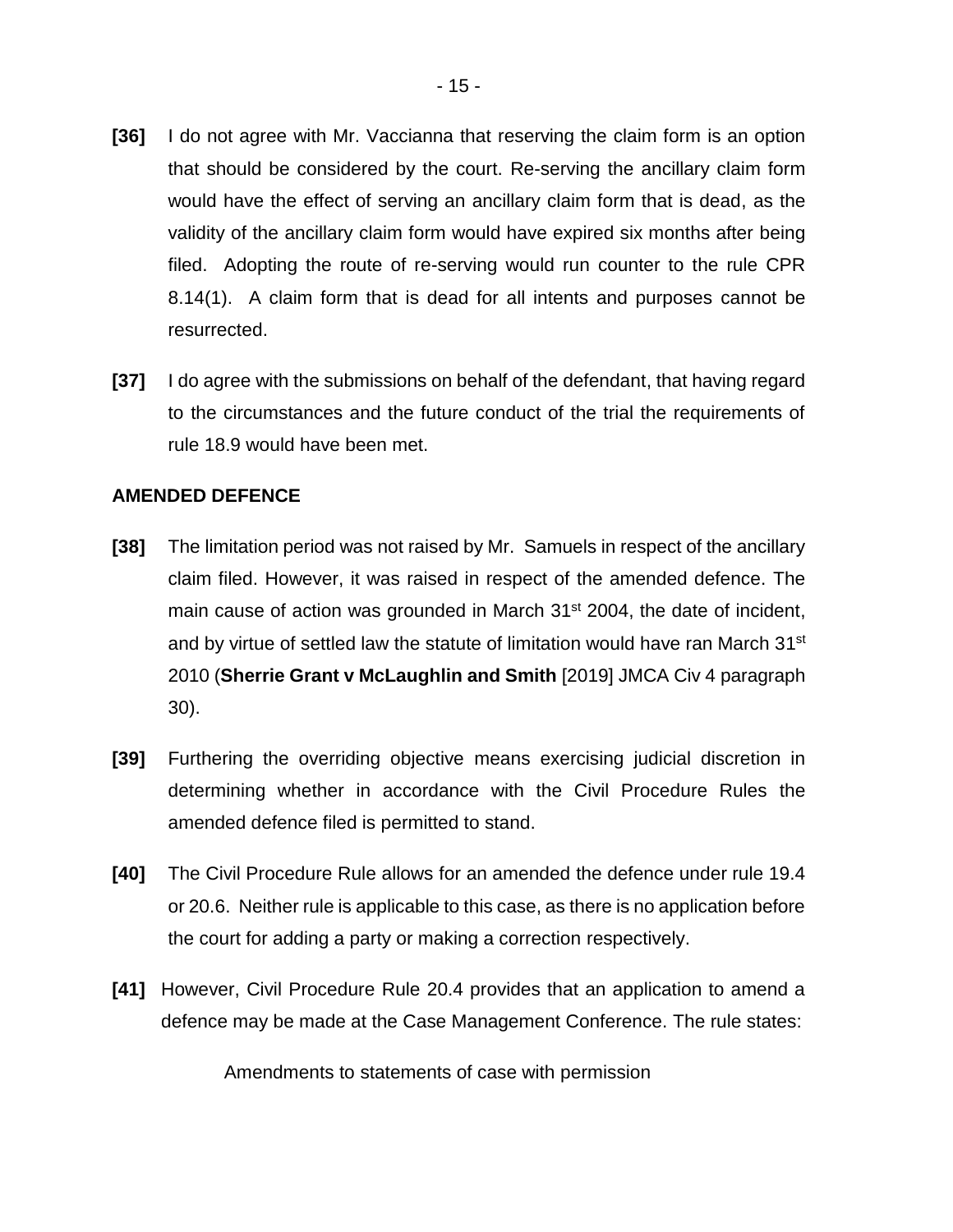- **[36]** I do not agree with Mr. Vaccianna that reserving the claim form is an option that should be considered by the court. Re-serving the ancillary claim form would have the effect of serving an ancillary claim form that is dead, as the validity of the ancillary claim form would have expired six months after being filed. Adopting the route of re-serving would run counter to the rule CPR 8.14(1). A claim form that is dead for all intents and purposes cannot be resurrected.
- **[37]** I do agree with the submissions on behalf of the defendant, that having regard to the circumstances and the future conduct of the trial the requirements of rule 18.9 would have been met.

### **AMENDED DEFENCE**

- **[38]** The limitation period was not raised by Mr. Samuels in respect of the ancillary claim filed. However, it was raised in respect of the amended defence. The main cause of action was grounded in March 31<sup>st</sup> 2004, the date of incident, and by virtue of settled law the statute of limitation would have ran March 31<sup>st</sup> 2010 (**Sherrie Grant v McLaughlin and Smith** [2019] JMCA Civ 4 paragraph 30).
- **[39]** Furthering the overriding objective means exercising judicial discretion in determining whether in accordance with the Civil Procedure Rules the amended defence filed is permitted to stand.
- **[40]** The Civil Procedure Rule allows for an amended the defence under rule 19.4 or 20.6. Neither rule is applicable to this case, as there is no application before the court for adding a party or making a correction respectively.
- **[41]** However, Civil Procedure Rule 20.4 provides that an application to amend a defence may be made at the Case Management Conference. The rule states:

Amendments to statements of case with permission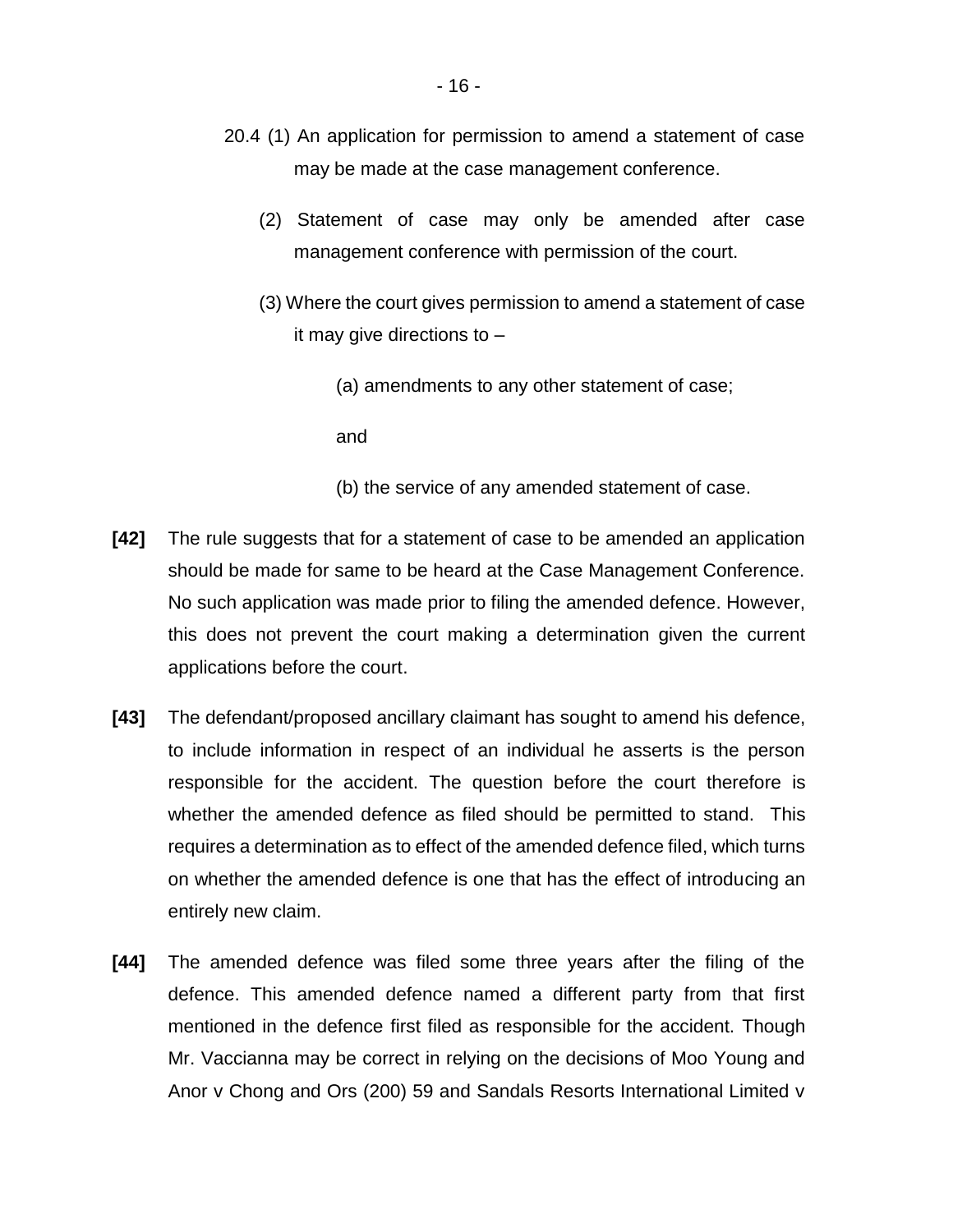- 20.4 (1) An application for permission to amend a statement of case may be made at the case management conference.
	- (2) Statement of case may only be amended after case management conference with permission of the court.
	- (3) Where the court gives permission to amend a statement of case it may give directions to –
		- (a) amendments to any other statement of case;

and

- (b) the service of any amended statement of case.
- **[42]** The rule suggests that for a statement of case to be amended an application should be made for same to be heard at the Case Management Conference. No such application was made prior to filing the amended defence. However, this does not prevent the court making a determination given the current applications before the court.
- **[43]** The defendant/proposed ancillary claimant has sought to amend his defence, to include information in respect of an individual he asserts is the person responsible for the accident. The question before the court therefore is whether the amended defence as filed should be permitted to stand. This requires a determination as to effect of the amended defence filed, which turns on whether the amended defence is one that has the effect of introducing an entirely new claim.
- **[44]** The amended defence was filed some three years after the filing of the defence. This amended defence named a different party from that first mentioned in the defence first filed as responsible for the accident. Though Mr. Vaccianna may be correct in relying on the decisions of Moo Young and Anor v Chong and Ors (200) 59 and Sandals Resorts International Limited v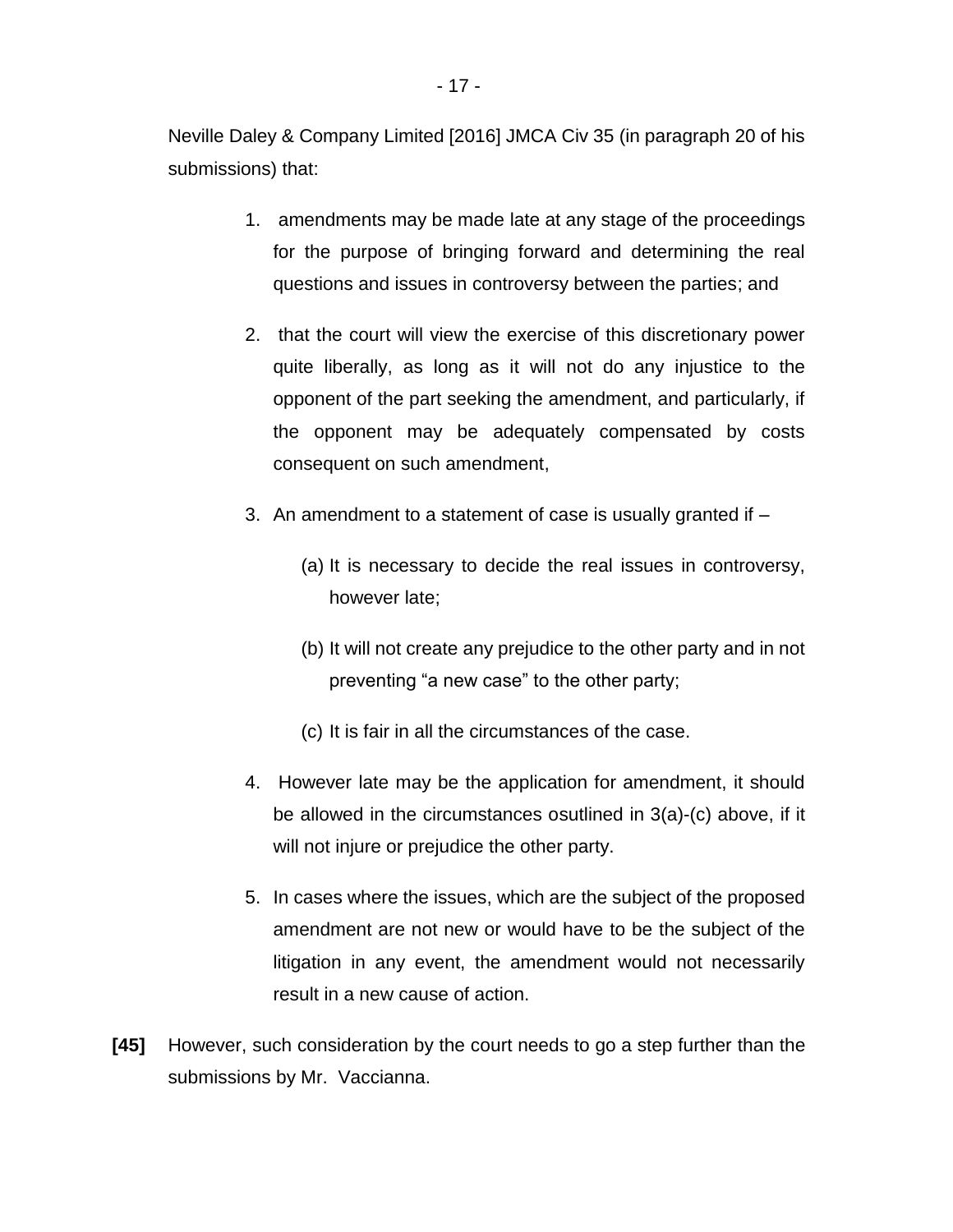Neville Daley & Company Limited [2016] JMCA Civ 35 (in paragraph 20 of his submissions) that:

- 1. amendments may be made late at any stage of the proceedings for the purpose of bringing forward and determining the real questions and issues in controversy between the parties; and
- 2. that the court will view the exercise of this discretionary power quite liberally, as long as it will not do any injustice to the opponent of the part seeking the amendment, and particularly, if the opponent may be adequately compensated by costs consequent on such amendment,
- 3. An amendment to a statement of case is usually granted if
	- (a) It is necessary to decide the real issues in controversy, however late;
	- (b) It will not create any prejudice to the other party and in not preventing "a new case" to the other party;
	- (c) It is fair in all the circumstances of the case.
- 4. However late may be the application for amendment, it should be allowed in the circumstances osutlined in 3(a)-(c) above, if it will not injure or prejudice the other party.
- 5. In cases where the issues, which are the subject of the proposed amendment are not new or would have to be the subject of the litigation in any event, the amendment would not necessarily result in a new cause of action.
- **[45]** However, such consideration by the court needs to go a step further than the submissions by Mr. Vaccianna.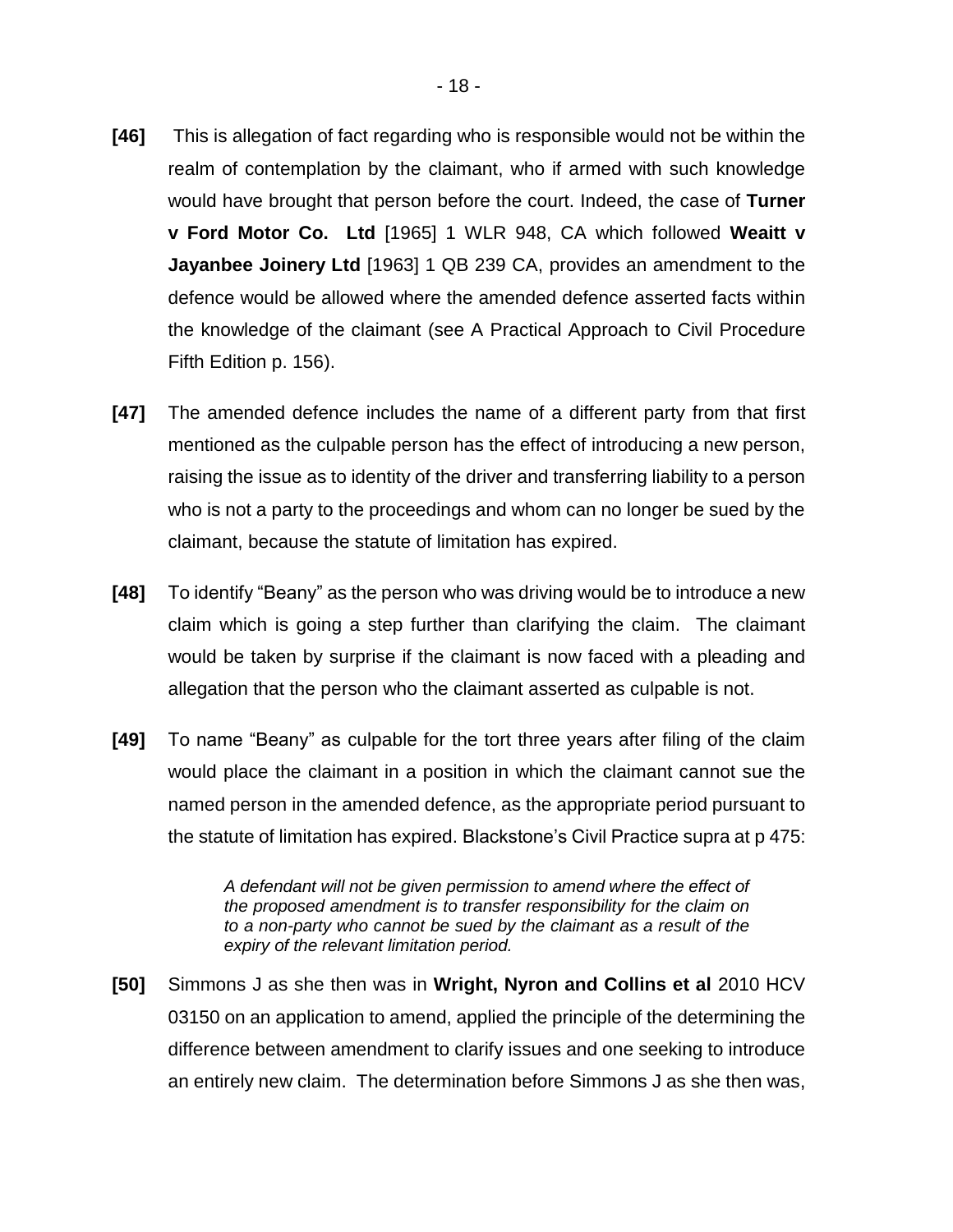- **[46]** This is allegation of fact regarding who is responsible would not be within the realm of contemplation by the claimant, who if armed with such knowledge would have brought that person before the court. Indeed, the case of **Turner v Ford Motor Co. Ltd** [1965] 1 WLR 948, CA which followed **Weaitt v Jayanbee Joinery Ltd** [1963] 1 QB 239 CA, provides an amendment to the defence would be allowed where the amended defence asserted facts within the knowledge of the claimant (see A Practical Approach to Civil Procedure Fifth Edition p. 156).
- **[47]** The amended defence includes the name of a different party from that first mentioned as the culpable person has the effect of introducing a new person, raising the issue as to identity of the driver and transferring liability to a person who is not a party to the proceedings and whom can no longer be sued by the claimant, because the statute of limitation has expired.
- **[48]** To identify "Beany" as the person who was driving would be to introduce a new claim which is going a step further than clarifying the claim. The claimant would be taken by surprise if the claimant is now faced with a pleading and allegation that the person who the claimant asserted as culpable is not.
- **[49]** To name "Beany" as culpable for the tort three years after filing of the claim would place the claimant in a position in which the claimant cannot sue the named person in the amended defence, as the appropriate period pursuant to the statute of limitation has expired. Blackstone's Civil Practice supra at p 475:

*A defendant will not be given permission to amend where the effect of the proposed amendment is to transfer responsibility for the claim on to a non-party who cannot be sued by the claimant as a result of the expiry of the relevant limitation period.* 

**[50]** Simmons J as she then was in **Wright, Nyron and Collins et al** 2010 HCV 03150 on an application to amend, applied the principle of the determining the difference between amendment to clarify issues and one seeking to introduce an entirely new claim. The determination before Simmons J as she then was,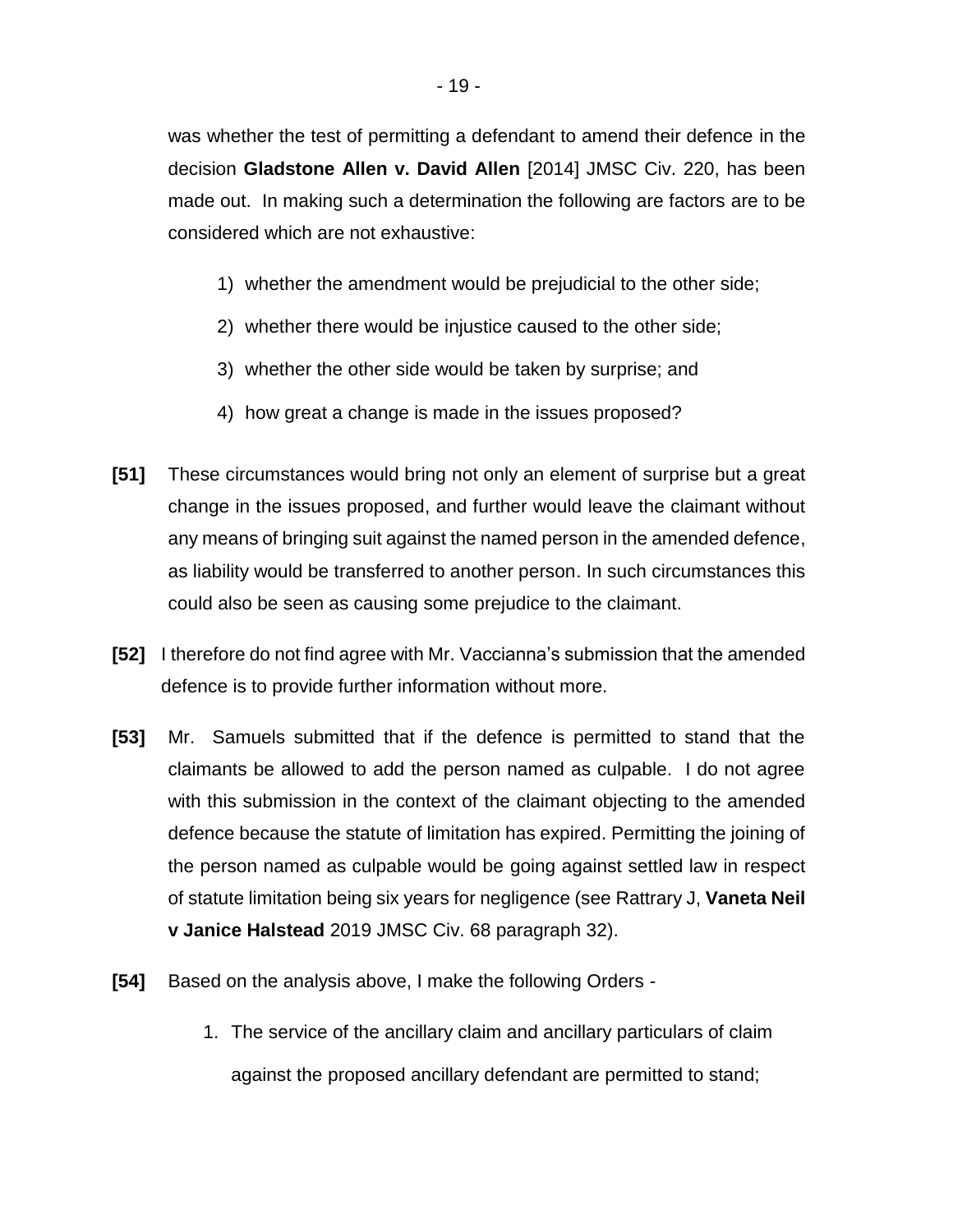was whether the test of permitting a defendant to amend their defence in the decision **Gladstone Allen v. David Allen** [2014] JMSC Civ. 220, has been made out. In making such a determination the following are factors are to be considered which are not exhaustive:

- 1) whether the amendment would be prejudicial to the other side;
- 2) whether there would be injustice caused to the other side;
- 3) whether the other side would be taken by surprise; and
- 4) how great a change is made in the issues proposed?
- **[51]** These circumstances would bring not only an element of surprise but a great change in the issues proposed, and further would leave the claimant without any means of bringing suit against the named person in the amended defence, as liability would be transferred to another person. In such circumstances this could also be seen as causing some prejudice to the claimant.
- **[52]** I therefore do not find agree with Mr. Vaccianna's submission that the amended defence is to provide further information without more.
- **[53]** Mr. Samuels submitted that if the defence is permitted to stand that the claimants be allowed to add the person named as culpable. I do not agree with this submission in the context of the claimant objecting to the amended defence because the statute of limitation has expired. Permitting the joining of the person named as culpable would be going against settled law in respect of statute limitation being six years for negligence (see Rattrary J, **Vaneta Neil v Janice Halstead** 2019 JMSC Civ. 68 paragraph 32).
- **[54]** Based on the analysis above, I make the following Orders
	- 1. The service of the ancillary claim and ancillary particulars of claim against the proposed ancillary defendant are permitted to stand;